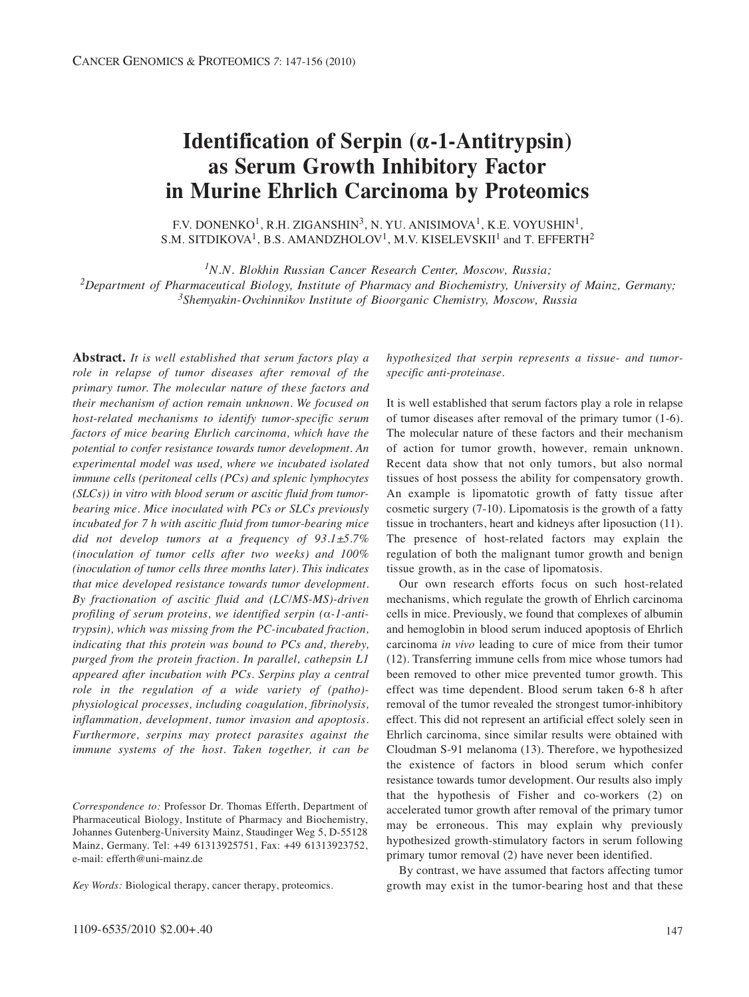# **Identification of Serpin (α-1-Antitrypsin) as Serum Growth Inhibitory Factor in Murine Ehrlich Carcinoma by Proteomics**

F.V. DONENKO<sup>1</sup>, R.H. ZIGANSHIN<sup>3</sup>, N. YU. ANISIMOVA<sup>1</sup>, K.E. VOYUSHIN<sup>1</sup>, S.M. SITDIKOVA<sup>1</sup>, B.S. AMANDZHOLOV<sup>1</sup>, M.V. KISELEVSKII<sup>1</sup> and T. EFFERTH<sup>2</sup>

*1N.N. Blokhin Russian Cancer Research Center, Moscow, Russia; 2Department of Pharmaceutical Biology, Institute of Pharmacy and Biochemistry, University of Mainz, Germany; 3Shemyakin-Ovchinnikov Institute of Bioorganic Chemistry, Moscow, Russia*

**Abstract.** *It is well established that serum factors play a role in relapse of tumor diseases after removal of the primary tumor. The molecular nature of these factors and their mechanism of action remain unknown. We focused on host-related mechanisms to identify tumor-specific serum factors of mice bearing Ehrlich carcinoma, which have the potential to confer resistance towards tumor development. An experimental model was used, where we incubated isolated immune cells (peritoneal cells (PCs) and splenic lymphocytes (SLCs)) in vitro with blood serum or ascitic fluid from tumorbearing mice. Mice inoculated with PCs or SLCs previously incubated for 7 h with ascitic fluid from tumor-bearing mice did not develop tumors at a frequency of 93.1±5.7% (inoculation of tumor cells after two weeks) and 100% (inoculation of tumor cells three months later). This indicates that mice developed resistance towards tumor development. By fractionation of ascitic fluid and (LC/MS-MS)-driven profiling of serum proteins, we identified serpin (α-1-antitrypsin), which was missing from the PC-incubated fraction, indicating that this protein was bound to PCs and, thereby, purged from the protein fraction. In parallel, cathepsin L1 appeared after incubation with PCs. Serpins play a central role in the regulation of a wide variety of (patho) physiological processes, including coagulation, fibrinolysis, inflammation, development, tumor invasion and apoptosis. Furthermore, serpins may protect parasites against the immune systems of the host. Taken together, it can be*

*Correspondence to:* Professor Dr. Thomas Efferth, Department of Pharmaceutical Biology, Institute of Pharmacy and Biochemistry, Johannes Gutenberg-University Mainz, Staudinger Weg 5, D-55128 Mainz, Germany. Tel: +49 61313925751, Fax: +49 61313923752, e-mail: efferth@uni-mainz.de

*Key Words:* Biological therapy, cancer therapy, proteomics.

*hypothesized that serpin represents a tissue- and tumorspecific anti-proteinase.* 

It is well established that serum factors play a role in relapse of tumor diseases after removal of the primary tumor (1-6). The molecular nature of these factors and their mechanism of action for tumor growth, however, remain unknown. Recent data show that not only tumors, but also normal tissues of host possess the ability for compensatory growth. An example is lipomatotic growth of fatty tissue after cosmetic surgery (7-10). Lipomatosis is the growth of a fatty tissue in trochanters, heart and kidneys after liposuction (11). The presence of host-related factors may explain the regulation of both the malignant tumor growth and benign tissue growth, as in the case of lipomatosis.

Our own research efforts focus on such host-related mechanisms, which regulate the growth of Ehrlich carcinoma cells in mice. Previously, we found that complexes of albumin and hemoglobin in blood serum induced apoptosis of Ehrlich carcinoma *in vivo* leading to cure of mice from their tumor (12). Transferring immune cells from mice whose tumors had been removed to other mice prevented tumor growth. This effect was time dependent. Blood serum taken 6-8 h after removal of the tumor revealed the strongest tumor-inhibitory effect. This did not represent an artificial effect solely seen in Ehrlich carcinoma, since similar results were obtained with Cloudman S-91 melanoma (13). Therefore, we hypothesized the existence of factors in blood serum which confer resistance towards tumor development. Our results also imply that the hypothesis of Fisher and co-workers (2) on accelerated tumor growth after removal of the primary tumor may be erroneous. This may explain why previously hypothesized growth-stimulatory factors in serum following primary tumor removal (2) have never been identified.

By contrast, we have assumed that factors affecting tumor growth may exist in the tumor-bearing host and that these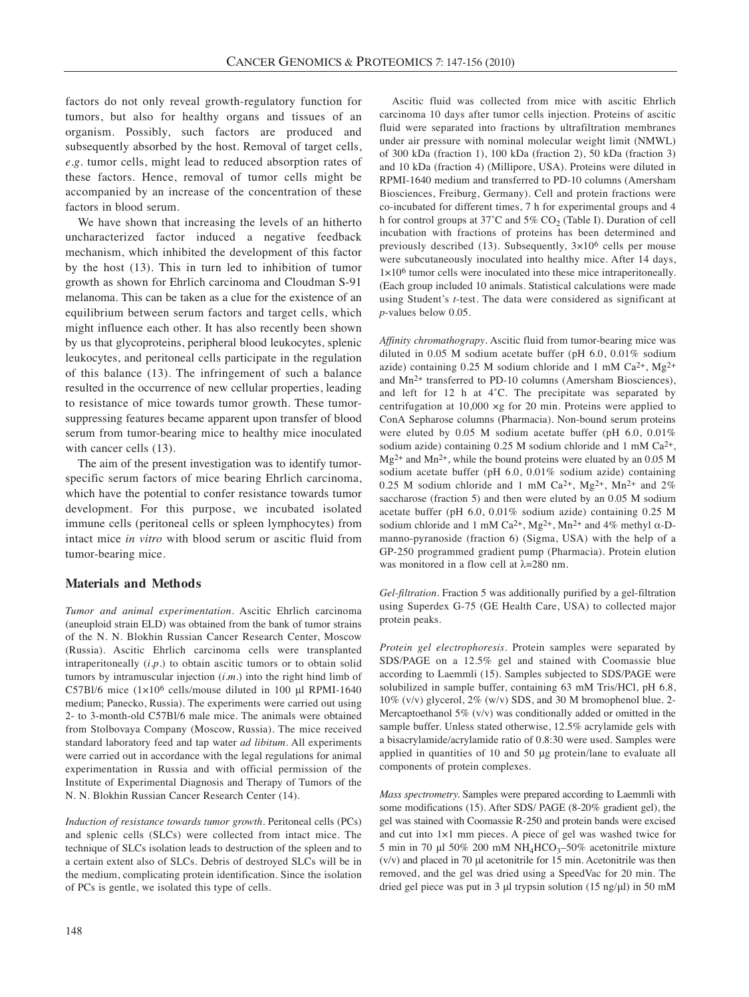factors do not only reveal growth-regulatory function for tumors, but also for healthy organs and tissues of an organism. Possibly, such factors are produced and subsequently absorbed by the host. Removal of target cells, *e.g.* tumor cells, might lead to reduced absorption rates of these factors. Hence, removal of tumor cells might be accompanied by an increase of the concentration of these factors in blood serum.

We have shown that increasing the levels of an hitherto uncharacterized factor induced a negative feedback mechanism, which inhibited the development of this factor by the host (13). This in turn led to inhibition of tumor growth as shown for Ehrlich carcinoma and Cloudman S-91 melanoma. This can be taken as a clue for the existence of an equilibrium between serum factors and target cells, which might influence each other. It has also recently been shown by us that glycoproteins, peripheral blood leukocytes, splenic leukocytes, and peritoneal cells participate in the regulation of this balance (13). The infringement of such a balance resulted in the occurrence of new cellular properties, leading to resistance of mice towards tumor growth. These tumorsuppressing features became apparent upon transfer of blood serum from tumor-bearing mice to healthy mice inoculated with cancer cells  $(13)$ .

The aim of the present investigation was to identify tumorspecific serum factors of mice bearing Ehrlich carcinoma, which have the potential to confer resistance towards tumor development. For this purpose, we incubated isolated immune cells (peritoneal cells or spleen lymphocytes) from intact mice *in vitro* with blood serum or ascitic fluid from tumor-bearing mice.

## **Materials and Methods**

*Tumor and animal experimentation.* Ascitic Ehrlich carcinoma (aneuploid strain ELD) was obtained from the bank of tumor strains of the N. N. Blokhin Russian Cancer Research Center, Moscow (Russia). Ascitic Ehrlich carcinoma cells were transplanted intraperitoneally (*i.p.*) to obtain ascitic tumors or to obtain solid tumors by intramuscular injection (*i.m.*) into the right hind limb of C57Bl/6 mice (1×106 cells/mouse diluted in 100 μl RPMI-1640 medium; Panecko, Russia). The experiments were carried out using 2- to 3-month-old C57Bl/6 male mice. The animals were obtained from Stolbovaya Company (Moscow, Russia). The mice received standard laboratory feed and tap water *ad libitum*. All experiments were carried out in accordance with the legal regulations for animal experimentation in Russia and with official permission of the Institute of Experimental Diagnosis and Therapy of Tumors of the N. N. Blokhin Russian Cancer Research Center (14).

*Induction of resistance towards tumor growth.* Peritoneal cells (PCs) and splenic cells (SLCs) were collected from intact mice. The technique of SLCs isolation leads to destruction of the spleen and to a certain extent also of SLCs. Debris of destroyed SLCs will be in the medium, complicating protein identification. Since the isolation of PCs is gentle, we isolated this type of cells.

Ascitic fluid was collected from mice with ascitic Ehrlich carcinoma 10 days after tumor cells injection. Proteins of ascitic fluid were separated into fractions by ultrafiltration membranes under air pressure with nominal molecular weight limit (NMWL) of 300 kDa (fraction 1), 100 kDa (fraction 2), 50 kDa (fraction 3) and 10 kDa (fraction 4) (Millipore, USA). Proteins were diluted in RPMI-1640 medium and transferred to PD-10 columns (Amersham Biosciences, Freiburg, Germany). Cell and protein fractions were co-incubated for different times, 7 h for experimental groups and 4 h for control groups at  $37^{\circ}$ C and  $5\%$  CO<sub>2</sub> (Table I). Duration of cell incubation with fractions of proteins has been determined and previously described (13). Subsequently,  $3\times10^6$  cells per mouse were subcutaneously inoculated into healthy mice. After 14 days, 1×106 tumor cells were inoculated into these mice intraperitoneally. (Each group included 10 animals. Statistical calculations were made using Student's *t*-test. The data were considered as significant at *p*-values below 0.05.

*Affinity chromathograpy*. Ascitic fluid from tumor-bearing mice was diluted in 0.05 M sodium acetate buffer (pH 6.0, 0.01% sodium azide) containing 0.25 M sodium chloride and 1 mM  $Ca^{2+}$ ,  $Mg^{2+}$ and Mn2+ transferred to PD-10 columns (Amersham Biosciences), and left for 12 h at 4˚C. The precipitate was separated by centrifugation at 10,000 ×g for 20 min. Proteins were applied to ConA Sepharose columns (Pharmacia). Non-bound serum proteins were eluted by 0.05 M sodium acetate buffer (pH 6.0, 0.01% sodium azide) containing 0.25 M sodium chloride and 1 mM Ca<sup>2+</sup>,  $Mg^{2+}$  and  $Mn^{2+}$ , while the bound proteins were eluated by an 0.05 M sodium acetate buffer (pH 6.0, 0.01% sodium azide) containing 0.25 M sodium chloride and 1 mM Ca<sup>2+</sup>, Mg<sup>2+</sup>, Mn<sup>2+</sup> and 2% saccharose (fraction 5) and then were eluted by an 0.05 M sodium acetate buffer (pH 6.0, 0.01% sodium azide) containing 0.25 M sodium chloride and 1 mM Ca<sup>2+</sup>, Mg<sup>2+</sup>, Mn<sup>2+</sup> and 4% methyl  $\alpha$ -Dmanno-pyranoside (fraction 6) (Sigma, USA) with the help of a GP-250 programmed gradient pump (Pharmacia). Protein elution was monitored in a flow cell at  $\lambda$ =280 nm.

*Gel-filtration.* Fraction 5 was additionally purified by a gel-filtration using Superdex G-75 (GE Health Care, USA) to collected major protein peaks.

*Protein gel electrophoresis.* Protein samples were separated by SDS/PAGE on a 12.5% gel and stained with Coomassie blue according to Laemmli (15). Samples subjected to SDS/PAGE were solubilized in sample buffer, containing 63 mM Tris/HCl, pH 6.8, 10% (v/v) glycerol, 2% (w/v) SDS, and 30 M bromophenol blue. 2- Mercaptoethanol 5% (v/v) was conditionally added or omitted in the sample buffer. Unless stated otherwise, 12.5% acrylamide gels with a bisacrylamide/acrylamide ratio of 0.8:30 were used. Samples were applied in quantities of 10 and 50 μg protein/lane to evaluate all components of protein complexes.

*Mass spectrometry.* Samples were prepared according to Laemmli with some modifications (15). After SDS/ PAGE (8-20% gradient gel), the gel was stained with Coomassie R-250 and protein bands were excised and cut into 1×1 mm pieces. A piece of gel was washed twice for 5 min in 70 μl 50% 200 mM  $NH_4HCO_3$ –50% acetonitrile mixture (v/v) and placed in 70 μl acetonitrile for 15 min. Acetonitrile was then removed, and the gel was dried using a SpeedVac for 20 min. The dried gel piece was put in 3 μl trypsin solution (15 ng/μl) in 50 mM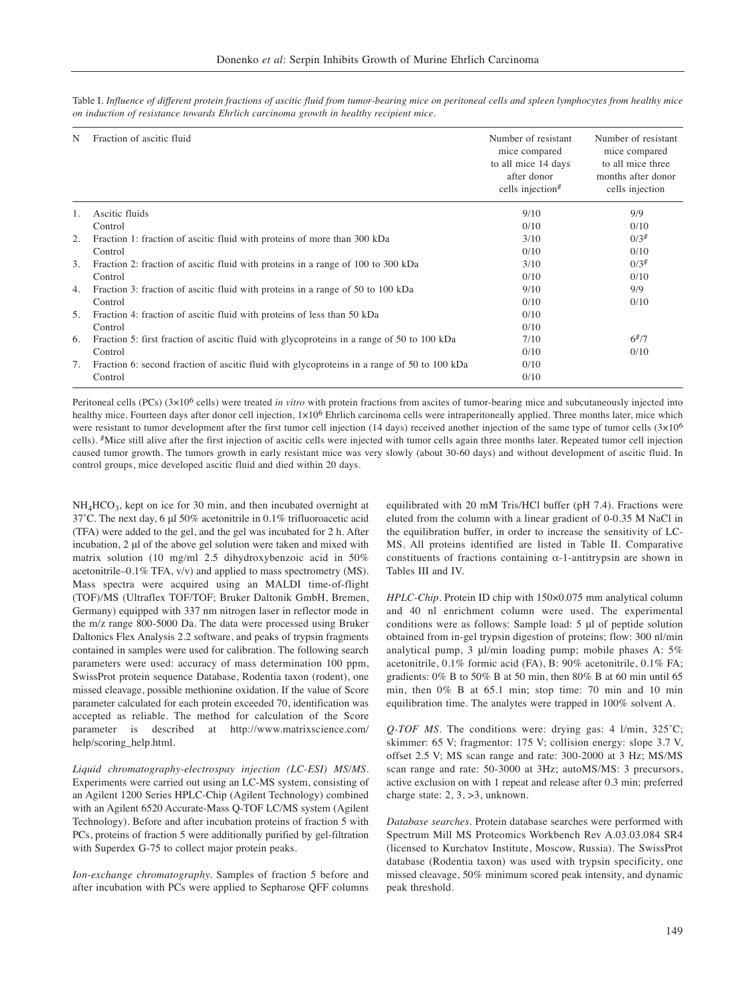| N  | Fraction of ascitic fluid                                                                   | Number of resistant<br>mice compared<br>to all mice 14 days<br>after donor<br>cells injection <sup>#</sup> | Number of resistant<br>mice compared<br>to all mice three<br>months after donor<br>cells injection |
|----|---------------------------------------------------------------------------------------------|------------------------------------------------------------------------------------------------------------|----------------------------------------------------------------------------------------------------|
| 1. | Ascitic fluids                                                                              | 9/10                                                                                                       | 9/9                                                                                                |
|    | Control                                                                                     | 0/10                                                                                                       | 0/10                                                                                               |
| 2. | Fraction 1: fraction of ascitic fluid with proteins of more than 300 kDa                    | 3/10                                                                                                       | $0/3^{#}$                                                                                          |
|    | Control                                                                                     | 0/10                                                                                                       | 0/10                                                                                               |
| 3. | Fraction 2: fraction of ascitic fluid with proteins in a range of 100 to 300 kDa            | 3/10                                                                                                       | $0/3^{#}$                                                                                          |
|    | Control                                                                                     | 0/10                                                                                                       | 0/10                                                                                               |
| 4. | Fraction 3: fraction of ascitic fluid with proteins in a range of 50 to 100 kDa             | 9/10                                                                                                       | 9/9                                                                                                |
|    | Control                                                                                     | 0/10                                                                                                       | 0/10                                                                                               |
| 5. | Fraction 4: fraction of ascitic fluid with proteins of less than 50 kDa                     | 0/10                                                                                                       |                                                                                                    |
|    | Control                                                                                     | 0/10                                                                                                       |                                                                                                    |
| 6. | Fraction 5: first fraction of ascitic fluid with glycoproteins in a range of 50 to 100 kDa  | 7/10                                                                                                       | $6^{#}/7$                                                                                          |
|    | Control                                                                                     | 0/10                                                                                                       | 0/10                                                                                               |
| 7. | Fraction 6: second fraction of ascitic fluid with glycoproteins in a range of 50 to 100 kDa | 0/10                                                                                                       |                                                                                                    |
|    | Control                                                                                     | 0/10                                                                                                       |                                                                                                    |

Table I. *Influence of different protein fractions of ascitic fluid from tumor-bearing mice on peritoneal cells and spleen lymphocytes from healthy mice on induction of resistance towards Ehrlich carcinoma growth in healthy recipient mice.*

Peritoneal cells (PCs) (3×106 cells) were treated *in vitro* with protein fractions from ascites of tumor-bearing mice and subcutaneously injected into healthy mice. Fourteen days after donor cell injection,  $1 \times 10^6$  Ehrlich carcinoma cells were intraperitoneally applied. Three months later, mice which were resistant to tumor development after the first tumor cell injection (14 days) received another injection of the same type of tumor cells  $(3\times10^6$ cells). #Mice still alive after the first injection of ascitic cells were injected with tumor cells again three months later. Repeated tumor cell injection caused tumor growth. The tumors growth in early resistant mice was very slowly (about 30-60 days) and without development of ascitic fluid. In control groups, mice developed ascitic fluid and died within 20 days.

 $NH<sub>4</sub>HCO<sub>3</sub>$ , kept on ice for 30 min, and then incubated overnight at 37˚C. The next day, 6 μl 50% acetonitrile in 0.1% trifluoroacetic acid (TFA) were added to the gel, and the gel was incubated for 2 h. After incubation, 2 μl of the above gel solution were taken and mixed with matrix solution (10 mg/ml 2.5 dihydroxybenzoic acid in 50% acetonitrile–0.1% TFA, v/v) and applied to mass spectrometry (MS). Mass spectra were acquired using an MALDI time-of-flight (TOF)/MS (Ultraflex TOF/TOF; Bruker Daltonik GmbH, Bremen, Germany) equipped with 337 nm nitrogen laser in reflector mode in the m/z range 800-5000 Da. The data were processed using Bruker Daltonics Flex Analysis 2.2 software, and peaks of trypsin fragments contained in samples were used for calibration. The following search parameters were used: accuracy of mass determination 100 ppm, SwissProt protein sequence Database, Rodentia taxon (rodent), one missed cleavage, possible methionine oxidation. If the value of Score parameter calculated for each protein exceeded 70, identification was accepted as reliable. The method for calculation of the Score parameter is described at http://www.matrixscience.com/ help/scoring\_help.html.

*Liquid chromatography-electrospay injection (LC-ESI) MS/MS.* Experiments were carried out using an LC-MS system, consisting of an Agilent 1200 Series HPLC-Chip (Agilent Technology) combined with an Agilent 6520 Accurate-Mass Q-TOF LC/MS system (Agilent Technology). Before and after incubation proteins of fraction 5 with PCs, proteins of fraction 5 were additionally purified by gel-filtration with Superdex G-75 to collect major protein peaks.

*Ion-exchange chromatography.* Samples of fraction 5 before and after incubation with PCs were applied to Sepharose QFF columns equilibrated with 20 mM Tris/HCl buffer (pH 7.4). Fractions were eluted from the column with a linear gradient of 0-0.35 M NaCl in the equilibration buffer, in order to increase the sensitivity of LC-MS. All proteins identified are listed in Table II. Comparative constituents of fractions containing  $\alpha$ -1-antitrypsin are shown in Tables III and IV.

*HPLC-Chip.* Protein ID chip with 150×0.075 mm analytical column and 40 nl enrichment column were used. The experimental conditions were as follows: Sample load: 5 μl of peptide solution obtained from in-gel trypsin digestion of proteins; flow: 300 nl/min analytical pump, 3 μl/min loading pump; mobile phases A: 5% acetonitrile, 0.1% formic acid (FA), B: 90% acetonitrile, 0.1% FA; gradients: 0% B to 50% B at 50 min, then 80% B at 60 min until 65 min, then 0% B at 65.1 min; stop time: 70 min and 10 min equilibration time. The analytes were trapped in 100% solvent A.

*Q-TOF MS.* The conditions were: drying gas: 4 l/min, 325˚C; skimmer: 65 V; fragmentor: 175 V; collision energy: slope 3.7 V, offset 2.5 V; MS scan range and rate: 300-2000 at 3 Hz; MS/MS scan range and rate: 50-3000 at 3Hz; autoMS/MS: 3 precursors, active exclusion on with 1 repeat and release after 0.3 min; preferred charge state: 2, 3, >3, unknown.

*Database searches.* Protein database searches were performed with Spectrum Mill MS Proteomics Workbench Rev A.03.03.084 SR4 (licensed to Kurchatov Institute, Moscow, Russia). The SwissProt database (Rodentia taxon) was used with trypsin specificity, one missed cleavage, 50% minimum scored peak intensity, and dynamic peak threshold.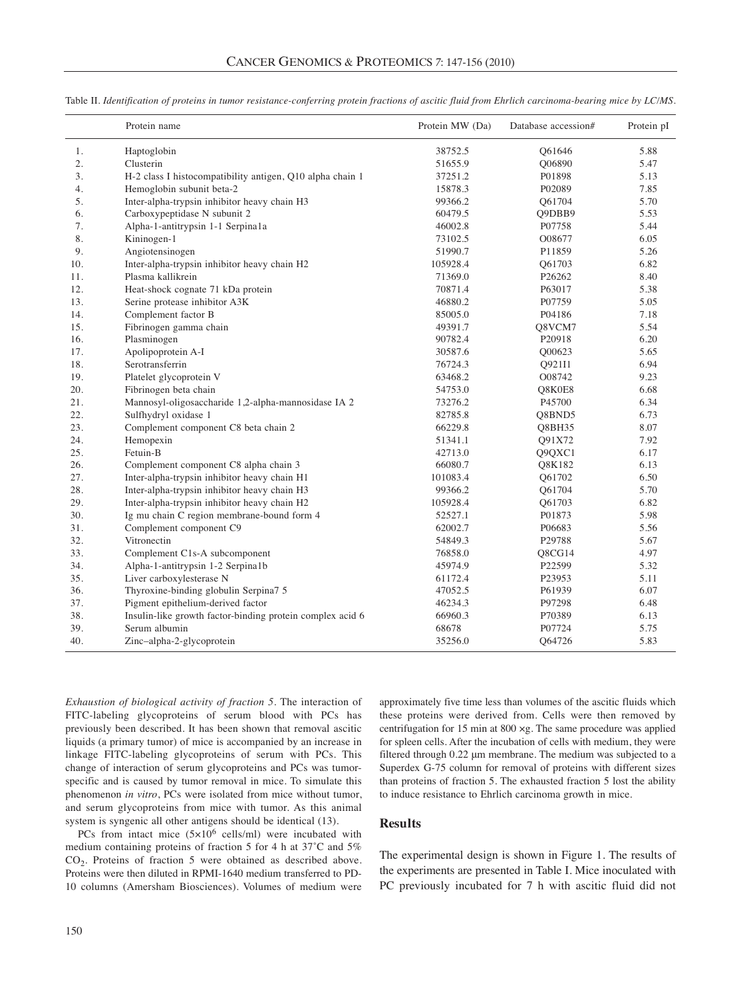|     | Protein name                                              | Protein MW (Da) | Database accession# | Protein pI |
|-----|-----------------------------------------------------------|-----------------|---------------------|------------|
| 1.  | Haptoglobin                                               | 38752.5         | Q61646              | 5.88       |
| 2.  | Clusterin                                                 | 51655.9         | Q06890              | 5.47       |
| 3.  | H-2 class I histocompatibility antigen, Q10 alpha chain 1 | 37251.2         | P01898              | 5.13       |
| 4.  | Hemoglobin subunit beta-2                                 | 15878.3         | P02089              | 7.85       |
| 5.  | Inter-alpha-trypsin inhibitor heavy chain H3              | 99366.2         | O61704              | 5.70       |
| 6.  | Carboxypeptidase N subunit 2                              | 60479.5         | Q9DBB9              | 5.53       |
| 7.  | Alpha-1-antitrypsin 1-1 Serpina1a                         | 46002.8         | P07758              | 5.44       |
| 8.  | Kininogen-1                                               | 73102.5         | O08677              | 6.05       |
| 9.  | Angiotensinogen                                           | 51990.7         | P11859              | 5.26       |
| 10. | Inter-alpha-trypsin inhibitor heavy chain H2              | 105928.4        | O61703              | 6.82       |
| 11. | Plasma kallikrein                                         | 71369.0         | P <sub>26262</sub>  | 8.40       |
| 12. | Heat-shock cognate 71 kDa protein                         | 70871.4         | P63017              | 5.38       |
| 13. | Serine protease inhibitor A3K                             | 46880.2         | P07759              | 5.05       |
| 14. | Complement factor B                                       | 85005.0         | P04186              | 7.18       |
| 15. | Fibrinogen gamma chain                                    | 49391.7         | O8VCM7              | 5.54       |
| 16. | Plasminogen                                               | 90782.4         | P20918              | 6.20       |
| 17. | Apolipoprotein A-I                                        | 30587.6         | Q00623              | 5.65       |
| 18. | Serotransferrin                                           | 76724.3         | Q921I1              | 6.94       |
| 19. | Platelet glycoprotein V                                   | 63468.2         | O08742              | 9.23       |
| 20. | Fibrinogen beta chain                                     | 54753.0         | Q8K0E8              | 6.68       |
| 21. | Mannosyl-oligosaccharide 1,2-alpha-mannosidase IA 2       | 73276.2         | P45700              | 6.34       |
| 22. | Sulfhydryl oxidase 1                                      | 82785.8         | Q8BND5              | 6.73       |
| 23. | Complement component C8 beta chain 2                      | 66229.8         | <b>O8BH35</b>       | 8.07       |
| 24. | Hemopexin                                                 | 51341.1         | O91X72              | 7.92       |
| 25. | Fetuin-B                                                  | 42713.0         | Q9QXC1              | 6.17       |
| 26. | Complement component C8 alpha chain 3                     | 66080.7         | O8K182              | 6.13       |
| 27. | Inter-alpha-trypsin inhibitor heavy chain H1              | 101083.4        | Q61702              | 6.50       |
| 28. | Inter-alpha-trypsin inhibitor heavy chain H3              | 99366.2         | Q61704              | 5.70       |
| 29. | Inter-alpha-trypsin inhibitor heavy chain H2              | 105928.4        | Q61703              | 6.82       |
| 30. | Ig mu chain C region membrane-bound form 4                | 52527.1         | P01873              | 5.98       |
| 31. | Complement component C9                                   | 62002.7         | P06683              | 5.56       |
| 32. | Vitronectin                                               | 54849.3         | P29788              | 5.67       |
| 33. | Complement C1s-A subcomponent                             | 76858.0         | Q8CG14              | 4.97       |
| 34. | Alpha-1-antitrypsin 1-2 Serpina1b                         | 45974.9         | P22599              | 5.32       |
| 35. | Liver carboxylesterase N                                  | 61172.4         | P23953              | 5.11       |
| 36. | Thyroxine-binding globulin Serpina7 5                     | 47052.5         | P61939              | 6.07       |
| 37. | Pigment epithelium-derived factor                         | 46234.3         | P97298              | 6.48       |
| 38. | Insulin-like growth factor-binding protein complex acid 6 | 66960.3         | P70389              | 6.13       |
| 39. | Serum albumin                                             | 68678           | P07724              | 5.75       |
| 40. | Zinc-alpha-2-glycoprotein                                 | 35256.0         | Q64726              | 5.83       |

Table II. *Identification of proteins in tumor resistance-conferring protein fractions of ascitic fluid from Ehrlich carcinoma-bearing mice by LC/MS.* 

*Exhaustion of biological activity of fraction 5.* The interaction of FITC-labeling glycoproteins of serum blood with PCs has previously been described. It has been shown that removal ascitic liquids (a primary tumor) of mice is accompanied by an increase in linkage FITC-labeling glycoproteins of serum with PCs. This change of interaction of serum glycoproteins and PCs was tumorspecific and is caused by tumor removal in mice. To simulate this phenomenon *in vitro*, PCs were isolated from mice without tumor, and serum glycoproteins from mice with tumor. As this animal system is syngenic all other antigens should be identical (13).

PCs from intact mice (5×106 cells/ml) were incubated with medium containing proteins of fraction 5 for 4 h at 37˚С and 5%  $CO<sub>2</sub>$ . Proteins of fraction 5 were obtained as described above. Proteins were then diluted in RPMI-1640 medium transferred to PD-10 columns (Amersham Biosciences). Volumes of medium were

approximately five time less than volumes of the ascitic fluids which these proteins were derived from. Cells were then removed by centrifugation for 15 min at 800 ×g. The same procedure was applied for spleen cells. After the incubation of cells with medium, they were filtered through 0.22 μm membrane. The medium was subjected to a Superdex G-75 column for removal of proteins with different sizes than proteins of fraction 5. The exhausted fraction 5 lost the ability to induce resistance to Ehrlich carcinoma growth in mice.

#### **Results**

The experimental design is shown in Figure 1. The results of the experiments are presented in Table I. Mice inoculated with PC previously incubated for 7 h with ascitic fluid did not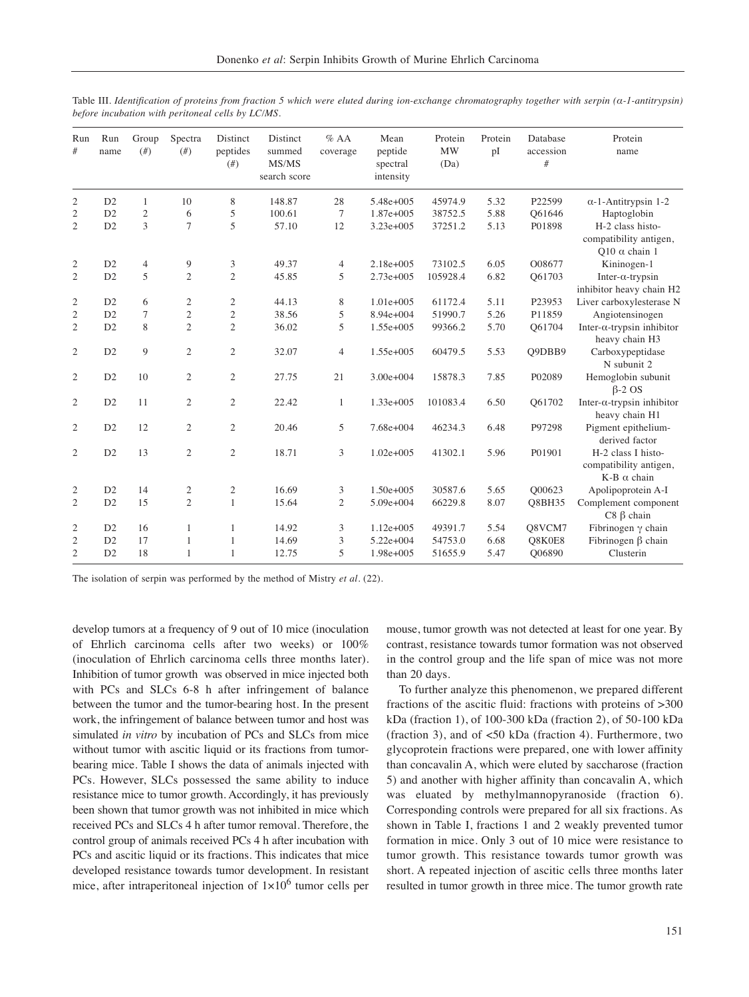| Run<br>#       | Run<br>name | Group<br>(f#)  | Spectra<br>(f# )        | Distinct<br>peptides<br>(f#) | Distinct<br>summed<br>MS/MS<br>search score | $%$ AA<br>coverage | Mean<br>peptide<br>spectral<br>intensity | Protein<br><b>MW</b><br>(Da) | Protein<br>pI | Database<br>accession<br># | Protein<br>name                                                    |
|----------------|-------------|----------------|-------------------------|------------------------------|---------------------------------------------|--------------------|------------------------------------------|------------------------------|---------------|----------------------------|--------------------------------------------------------------------|
| 2              | D2          | $\mathbf{1}$   | 10                      | 8                            | 148.87                                      | 28                 | 5.48e+005                                | 45974.9                      | 5.32          | P22599                     | $\alpha$ -1-Antitrypsin 1-2                                        |
| $\mathfrak{2}$ | D2          | $\overline{2}$ | 6                       | 5                            | 100.61                                      | 7                  | 1.87e+005                                | 38752.5                      | 5.88          | O61646                     | Haptoglobin                                                        |
| 2              | D2          | 3              | $\overline{7}$          | 5                            | 57.10                                       | 12                 | $3.23e+005$                              | 37251.2                      | 5.13          | P01898                     | H-2 class histo-<br>compatibility antigen,<br>Q10 $\alpha$ chain 1 |
| 2              | D2          | $\overline{4}$ | 9                       | 3                            | 49.37                                       | 4                  | $2.18e+005$                              | 73102.5                      | 6.05          | O08677                     | Kininogen-1                                                        |
| $\overline{2}$ | D2          | 5              | $\overline{2}$          | $\overline{2}$               | 45.85                                       | 5                  | 2.73e+005                                | 105928.4                     | 6.82          | O61703                     | Inter- $\alpha$ -trypsin<br>inhibitor heavy chain H2               |
| $\mathfrak{2}$ | D2          | 6              | 2                       | 2                            | 44.13                                       | 8                  | $1.01e + 005$                            | 61172.4                      | 5.11          | P23953                     | Liver carboxylesterase N                                           |
| $\mathfrak{2}$ | D2          | $\tau$         | $\mathfrak{2}$          | $\overline{c}$               | 38.56                                       | 5                  | 8.94e+004                                | 51990.7                      | 5.26          | P11859                     | Angiotensinogen                                                    |
| $\mathfrak{2}$ | D2          | 8              | $\mathfrak{2}$          | $\overline{c}$               | 36.02                                       | 5                  | 1.55e+005                                | 99366.2                      | 5.70          | O61704                     | Inter- $\alpha$ -trypsin inhibitor<br>heavy chain H3               |
| $\mathfrak{2}$ | D2          | 9              | $\overline{2}$          | $\overline{c}$               | 32.07                                       | $\overline{4}$     | $1.55e+005$                              | 60479.5                      | 5.53          | O9DBB9                     | Carboxypeptidase<br>N subunit 2                                    |
| 2              | D2          | 10             | 2                       | $\overline{c}$               | 27.75                                       | 21                 | $3.00e + 004$                            | 15878.3                      | 7.85          | P02089                     | Hemoglobin subunit<br>$\beta$ -2 OS                                |
| $\overline{2}$ | D2          | 11             | $\overline{2}$          | $\overline{2}$               | 22.42                                       | $\mathbf{1}$       | 1.33e+005                                | 101083.4                     | 6.50          | O61702                     | Inter- $\alpha$ -trypsin inhibitor<br>heavy chain H1               |
| $\overline{2}$ | D2          | 12             | $\overline{2}$          | $\overline{2}$               | 20.46                                       | 5                  | 7.68e+004                                | 46234.3                      | 6.48          | P97298                     | Pigment epithelium-<br>derived factor                              |
| $\overline{2}$ | D2          | 13             | $\mathfrak{2}$          | $\overline{c}$               | 18.71                                       | 3                  | $1.02e + 005$                            | 41302.1                      | 5.96          | P01901                     | H-2 class I histo-<br>compatibility antigen,<br>$K-B \alpha$ chain |
| 2              | D2          | 14             | $\overline{\mathbf{c}}$ | 2                            | 16.69                                       | 3                  | $1.50e + 005$                            | 30587.6                      | 5.65          | O00623                     | Apolipoprotein A-I                                                 |
| $\overline{2}$ | D2          | 15             | $\overline{2}$          | $\mathbf{1}$                 | 15.64                                       | $\overline{2}$     | $5.09e + 004$                            | 66229.8                      | 8.07          | <b>O8BH35</b>              | Complement component<br>$C8 \beta$ chain                           |
| 2              | D2          | 16             | $\mathbf{1}$            | $\mathbf{1}$                 | 14.92                                       | 3                  | $1.12e+005$                              | 49391.7                      | 5.54          | O8VCM7                     | Fibrinogen $\gamma$ chain                                          |
| $\overline{c}$ | D2          | 17             | 1                       | $\mathbf{1}$                 | 14.69                                       | 3                  | $5.22e+004$                              | 54753.0                      | 6.68          | O8K0E8                     | Fibrinogen $\beta$ chain                                           |
| $\overline{c}$ | D2          | 18             | 1                       | 1                            | 12.75                                       | 5                  | 1.98e+005                                | 51655.9                      | 5.47          | O06890                     | Clusterin                                                          |

Table III. *Identification of proteins from fraction 5 which were eluted during ion-exchange chromatography together with serpin (α-1-antitrypsin) before incubation with peritoneal cells by LC/MS.* 

The isolation of serpin was performed by the method of Mistry *et al.* (22).

develop tumors at a frequency of 9 out of 10 mice (inoculation of Ehrlich carcinoma cells after two weeks) or 100% (inoculation of Ehrlich carcinoma cells three months later). Inhibition of tumor growth was observed in mice injected both with PCs and SLCs 6-8 h after infringement of balance between the tumor and the tumor-bearing host. In the present work, the infringement of balance between tumor and host was simulated *in vitro* by incubation of PCs and SLCs from mice without tumor with ascitic liquid or its fractions from tumorbearing mice. Table I shows the data of animals injected with PCs. However, SLCs possessed the same ability to induce resistance mice to tumor growth. Accordingly, it has previously been shown that tumor growth was not inhibited in mice which received PCs and SLCs 4 h after tumor removal. Therefore, the control group of animals received PCs 4 h after incubation with PCs and ascitic liquid or its fractions. This indicates that mice developed resistance towards tumor development. In resistant mice, after intraperitoneal injection of  $1\times10^6$  tumor cells per mouse, tumor growth was not detected at least for one year. By contrast, resistance towards tumor formation was not observed in the control group and the life span of mice was not more than 20 days.

To further analyze this phenomenon, we prepared different fractions of the ascitic fluid: fractions with proteins of >300 kDa (fraction 1), of 100-300 kDa (fraction 2), of 50-100 kDa (fraction 3), and of <50 kDa (fraction 4). Furthermore, two glycoprotein fractions were prepared, one with lower affinity than concavalin A, which were eluted by saccharose (fraction 5) and another with higher affinity than concavalin A, which was eluated by methylmannopyranoside (fraction 6). Corresponding controls were prepared for all six fractions. As shown in Table I, fractions 1 and 2 weakly prevented tumor formation in mice. Only 3 out of 10 mice were resistance to tumor growth. This resistance towards tumor growth was short. A repeated injection of ascitic cells three months later resulted in tumor growth in three mice. The tumor growth rate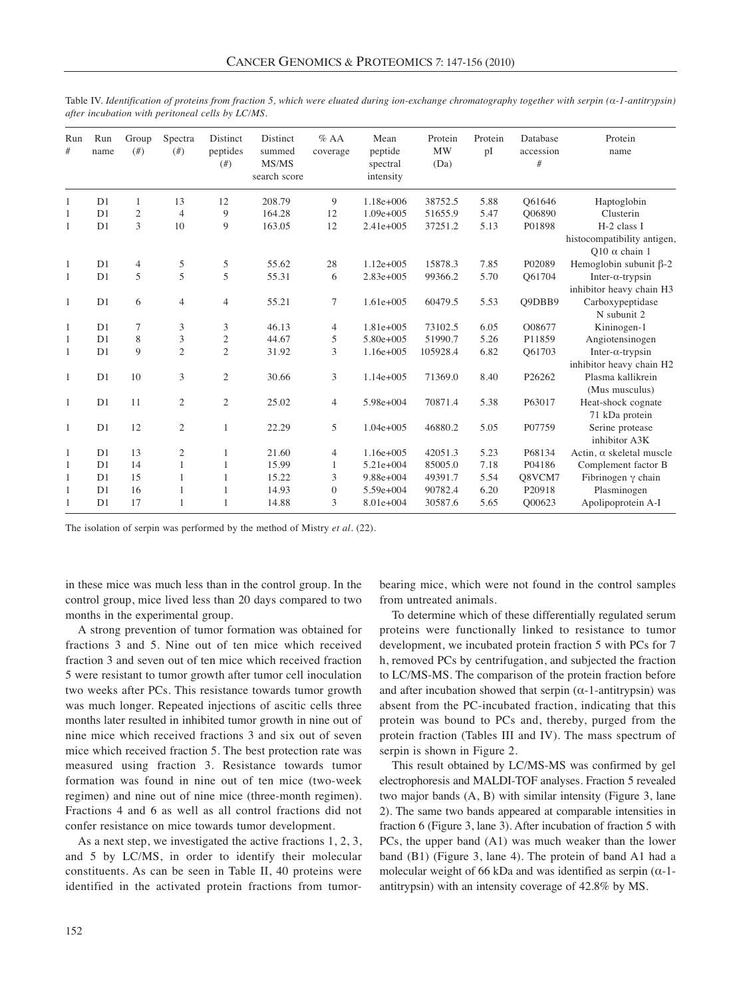| Run<br>#     | Run<br>name    | Group<br>(f# ) | Spectra<br>(f#) | Distinct<br>peptides<br>(f#) | Distinct<br>summed<br>MS/MS<br>search score | $%$ AA<br>coverage | Mean<br>peptide<br>spectral<br>intensity | Protein<br><b>MW</b><br>(Da) | Protein<br>pI | Database<br>accession<br># | Protein<br>name                                     |
|--------------|----------------|----------------|-----------------|------------------------------|---------------------------------------------|--------------------|------------------------------------------|------------------------------|---------------|----------------------------|-----------------------------------------------------|
| 1            | D <sub>1</sub> | 1              | 13              | 12                           | 208.79                                      | 9                  | 1.18e+006                                | 38752.5                      | 5.88          | O61646                     | Haptoglobin                                         |
| 1            | D1             | $\overline{2}$ | 4               | 9                            | 164.28                                      | 12                 | $1.09e + 005$                            | 51655.9                      | 5.47          | O06890                     | Clusterin                                           |
| 1            | D <sub>1</sub> | 3              | 10              | 9                            | 163.05                                      | 12                 | $2.41e+005$                              | 37251.2                      | 5.13          | P01898                     | H-2 class I                                         |
|              |                |                |                 |                              |                                             |                    |                                          |                              |               |                            | histocompatibility antigen,<br>$010 \alpha$ chain 1 |
| 1            | D <sub>1</sub> | 4              | 5               | 5                            | 55.62                                       | 28                 | $1.12e+005$                              | 15878.3                      | 7.85          | P02089                     | Hemoglobin subunit $\beta$ -2                       |
| 1            | D1             | 5              | 5               | 5                            | 55.31                                       | 6                  | $2.83e+005$                              | 99366.2                      | 5.70          | O61704                     | Inter- $\alpha$ -trypsin                            |
|              |                |                |                 |                              |                                             |                    |                                          |                              |               |                            | inhibitor heavy chain H3                            |
| $\mathbf{1}$ | D <sub>1</sub> | 6              | $\overline{4}$  | $\overline{4}$               | 55.21                                       | $\tau$             | $1.61e+005$                              | 60479.5                      | 5.53          | O9DBB9                     | Carboxypeptidase                                    |
|              |                |                |                 |                              |                                             |                    |                                          |                              |               |                            | N subunit 2                                         |
| 1            | D <sub>1</sub> | 7              | 3               | 3                            | 46.13                                       | $\overline{4}$     | 1.81e+005                                | 73102.5                      | 6.05          | O08677                     | Kininogen-1                                         |
| 1            | D1             | 8              | 3               | $\mathfrak{2}$               | 44.67                                       | 5                  | 5.80e+005                                | 51990.7                      | 5.26          | P11859                     | Angiotensinogen                                     |
| 1            | D1             | 9              | $\mathfrak{2}$  | $\overline{c}$               | 31.92                                       | 3                  | 1.16e+005                                | 105928.4                     | 6.82          | O61703                     | Inter- $\alpha$ -trypsin                            |
|              |                |                |                 |                              |                                             |                    |                                          |                              |               |                            | inhibitor heavy chain H2                            |
| 1            | D <sub>1</sub> | 10             | 3               | 2                            | 30.66                                       | 3                  | $1.14e + 005$                            | 71369.0                      | 8.40          | P26262                     | Plasma kallikrein                                   |
|              |                |                |                 |                              |                                             |                    |                                          |                              |               |                            | (Mus musculus)                                      |
| 1            | D <sub>1</sub> | 11             | $\mathfrak{2}$  | $\overline{c}$               | 25.02                                       | $\overline{4}$     | 5.98e+004                                | 70871.4                      | 5.38          | P63017                     | Heat-shock cognate                                  |
|              |                |                |                 |                              |                                             |                    |                                          |                              |               |                            | 71 kDa protein                                      |
| $\mathbf{1}$ | D <sub>1</sub> | 12             | $\mathfrak{2}$  | 1                            | 22.29                                       | 5                  | $1.04e + 005$                            | 46880.2                      | 5.05          | P07759                     | Serine protease                                     |
|              |                |                |                 |                              |                                             |                    |                                          |                              |               |                            | inhibitor A3K                                       |
| 1            | D <sub>1</sub> | 13             | $\overline{2}$  | $\mathbf{1}$                 | 21.60                                       | $\overline{4}$     | 1.16e+005                                | 42051.3                      | 5.23          | P68134                     | Actin, $\alpha$ skeletal muscle                     |
| 1            | D <sub>1</sub> | 14             | 1               | 1                            | 15.99                                       | 1                  | $5.21e+004$                              | 85005.0                      | 7.18          | P04186                     | Complement factor B                                 |
| 1            | D <sub>1</sub> | 15             | 1               | 1                            | 15.22                                       | 3                  | 9.88e+004                                | 49391.7                      | 5.54          | Q8VCM7                     | Fibrinogen $\gamma$ chain                           |
| 1            | D1             | 16             | 1               | 1                            | 14.93                                       | $\overline{0}$     | 5.59e+004                                | 90782.4                      | 6.20          | P20918                     | Plasminogen                                         |
| 1            | D1             | 17             | 1               |                              | 14.88                                       | 3                  | 8.01e+004                                | 30587.6                      | 5.65          | O00623                     | Apolipoprotein A-I                                  |

Table IV. *Identification of proteins from fraction 5, which were eluated during ion-exchange chromatography together with serpin (α-1-antitrypsin) after incubation with peritoneal cells by LC/MS.* 

The isolation of serpin was performed by the method of Mistry *et al.* (22).

in these mice was much less than in the control group. In the control group, mice lived less than 20 days compared to two months in the experimental group.

A strong prevention of tumor formation was obtained for fractions 3 and 5. Nine out of ten mice which received fraction 3 and seven out of ten mice which received fraction 5 were resistant to tumor growth after tumor cell inoculation two weeks after PCs. This resistance towards tumor growth was much longer. Repeated injections of ascitic cells three months later resulted in inhibited tumor growth in nine out of nine mice which received fractions 3 and six out of seven mice which received fraction 5. The best protection rate was measured using fraction 3. Resistance towards tumor formation was found in nine out of ten mice (two-week regimen) and nine out of nine mice (three-month regimen). Fractions 4 and 6 as well as all control fractions did not confer resistance on mice towards tumor development.

As a next step, we investigated the active fractions 1, 2, 3, and 5 by LC/MS, in order to identify their molecular constituents. As can be seen in Table II, 40 proteins were identified in the activated protein fractions from tumorbearing mice, which were not found in the control samples from untreated animals.

To determine which of these differentially regulated serum proteins were functionally linked to resistance to tumor development, we incubated protein fraction 5 with PCs for 7 h, removed PCs by centrifugation, and subjected the fraction to LC/MS-MS. The comparison of the protein fraction before and after incubation showed that serpin  $(\alpha$ -1-antitrypsin) was absent from the PC-incubated fraction, indicating that this protein was bound to PCs and, thereby, purged from the protein fraction (Tables III and IV). The mass spectrum of serpin is shown in Figure 2.

This result obtained by LC/MS-MS was confirmed by gel electrophoresis and MALDI-TOF analyses. Fraction 5 revealed two major bands (A, B) with similar intensity (Figure 3, lane 2). The same two bands appeared at comparable intensities in fraction 6 (Figure 3, lane 3). After incubation of fraction 5 with PCs, the upper band (A1) was much weaker than the lower band (B1) (Figure 3, lane 4). The protein of band A1 had a molecular weight of 66 kDa and was identified as serpin  $(\alpha$ -1antitrypsin) with an intensity coverage of 42.8% by MS.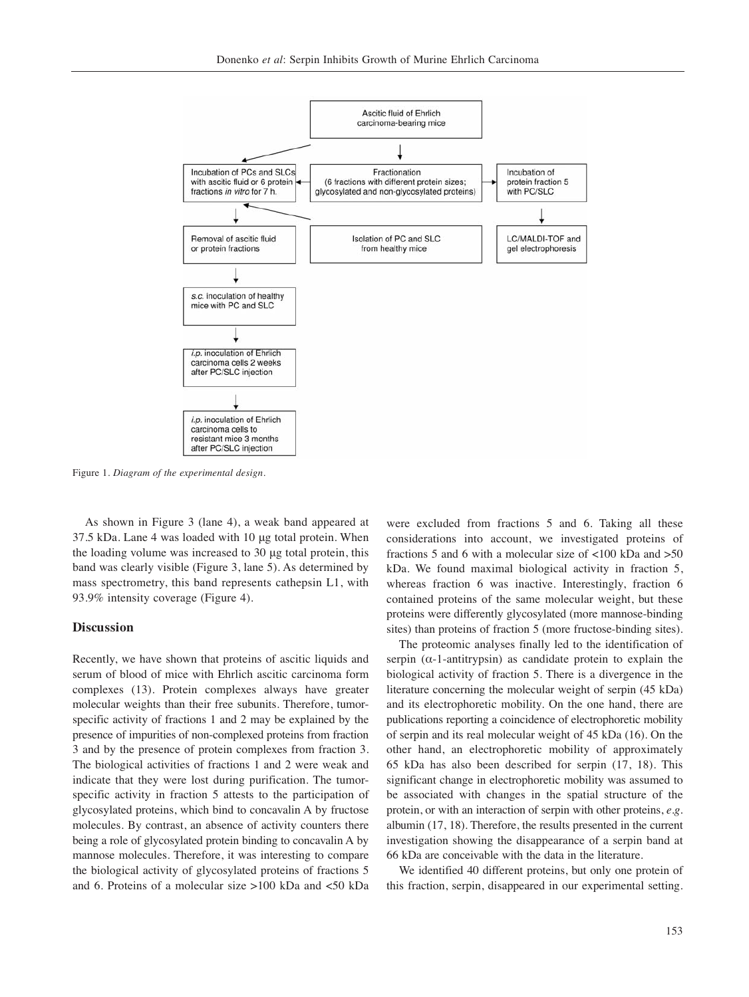

Figure 1. *Diagram of the experimental design.*

As shown in Figure 3 (lane 4), a weak band appeared at 37.5 kDa. Lane 4 was loaded with 10 μg total protein. When the loading volume was increased to 30 μg total protein, this band was clearly visible (Figure 3, lane 5). As determined by mass spectrometry, this band represents cathepsin L1, with 93.9% intensity coverage (Figure 4).

### **Discussion**

Recently, we have shown that proteins of ascitic liquids and serum of blood of mice with Ehrlich ascitic carcinoma form complexes (13). Protein complexes always have greater molecular weights than their free subunits. Therefore, tumorspecific activity of fractions 1 and 2 may be explained by the presence of impurities of non-complexed proteins from fraction 3 and by the presence of protein complexes from fraction 3. The biological activities of fractions 1 and 2 were weak and indicate that they were lost during purification. The tumorspecific activity in fraction 5 attests to the participation of glycosylated proteins, which bind to concavalin A by fructose molecules. By contrast, an absence of activity counters there being a role of glycosylated protein binding to concavalin A by mannose molecules. Therefore, it was interesting to compare the biological activity of glycosylated proteins of fractions 5 and 6. Proteins of a molecular size >100 kDa and <50 kDa were excluded from fractions 5 and 6. Taking all these considerations into account, we investigated proteins of fractions 5 and 6 with a molecular size of <100 kDa and >50 kDa. We found maximal biological activity in fraction 5, whereas fraction 6 was inactive. Interestingly, fraction 6 contained proteins of the same molecular weight, but these proteins were differently glycosylated (more mannose-binding sites) than proteins of fraction 5 (more fructose-binding sites).

The proteomic analyses finally led to the identification of serpin  $(\alpha$ -1-antitrypsin) as candidate protein to explain the biological activity of fraction 5. There is a divergence in the literature concerning the molecular weight of serpin (45 kDa) and its electrophoretic mobility. On the one hand, there are publications reporting a coincidence of electrophoretic mobility of serpin and its real molecular weight of 45 kDa (16). On the other hand, an electrophoretic mobility of approximately 65 kDa has also been described for serpin (17, 18). This significant change in electrophoretic mobility was assumed to be associated with changes in the spatial structure of the protein, or with an interaction of serpin with other proteins, *e.g.* albumin (17, 18). Therefore, the results presented in the current investigation showing the disappearance of a serpin band at 66 kDa are conceivable with the data in the literature.

We identified 40 different proteins, but only one protein of this fraction, serpin, disappeared in our experimental setting.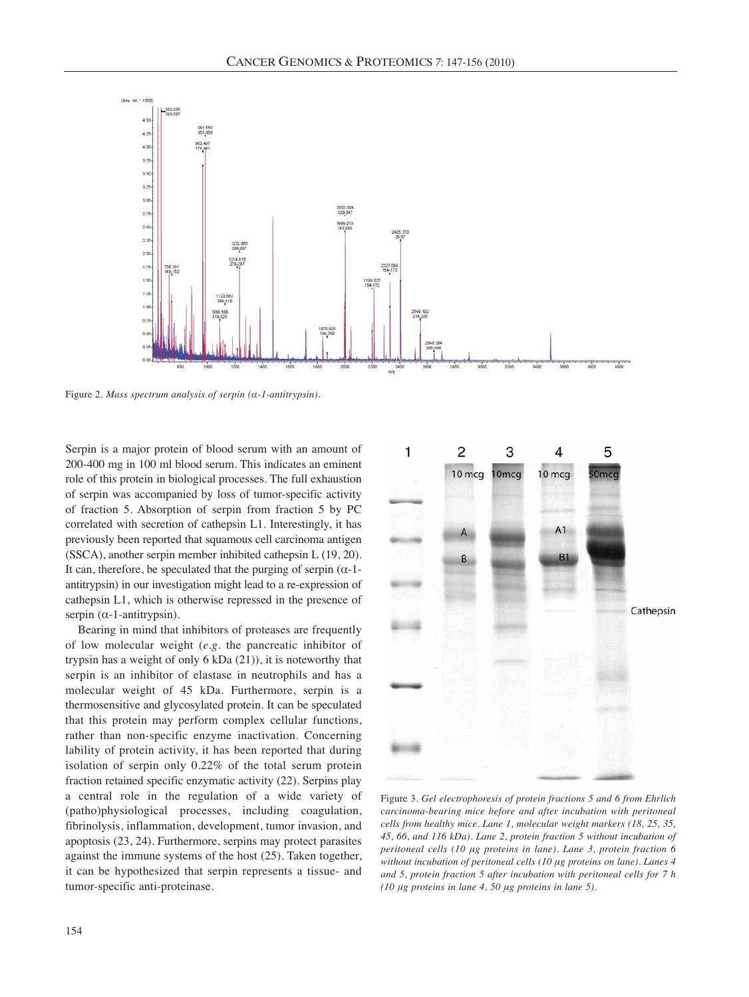

Figure 2. *Mass spectrum analysis of serpin (α-1-antitrypsin).*

Serpin is a major protein of blood serum with an amount of 200-400 mg in 100 ml blood serum. This indicates an eminent role of this protein in biological processes. The full exhaustion of serpin was accompanied by loss of tumor-specific activity of fraction 5. Absorption of serpin from fraction 5 by PC correlated with secretion of cathepsin L1. Interestingly, it has previously been reported that squamous cell carcinoma antigen (SSCA), another serpin member inhibited cathepsin L (19, 20). It can, therefore, be speculated that the purging of serpin  $(\alpha-1-)$ antitrypsin) in our investigation might lead to a re-expression of cathepsin L1, which is otherwise repressed in the presence of serpin  $(\alpha$ -1-antitrypsin).

Bearing in mind that inhibitors of proteases are frequently of low molecular weight (*e.g.* the pancreatic inhibitor of trypsin has a weight of only 6 kDa (21)), it is noteworthy that serpin is an inhibitor of elastase in neutrophils and has a molecular weight of 45 kDa. Furthermore, serpin is a thermosensitive and glycosylated protein. It can be speculated that this protein may perform complex cellular functions, rather than non-specific enzyme inactivation. Concerning lability of protein activity, it has been reported that during isolation of serpin only 0.22% of the total serum protein fraction retained specific enzymatic activity (22). Serpins play a central role in the regulation of a wide variety of (patho)physiological processes, including coagulation, fibrinolysis, inflammation, development, tumor invasion, and apoptosis (23, 24). Furthermore, serpins may protect parasites against the immune systems of the host (25). Taken together, it can be hypothesized that serpin represents a tissue- and tumor-specific anti-proteinase.



Figure 3. *Gel electrophoresis of protein fractions 5 and 6 from Ehrlich carcinoma-bearing mice before and after incubation with peritoneal cells from healthy mice. Lane 1, molecular weight markers (18, 25, 35, 45, 66, and 116 kDa). Lane 2, protein fraction 5 without incubation of peritoneal cells (10 μg proteins in lane). Lane 3, protein fraction 6 without incubation of peritoneal cells (10 μg proteins on lane). Lanes 4 and 5, protein fraction 5 after incubation with peritoneal cells for 7 h (10 μg proteins in lane 4, 50 μg proteins in lane 5).*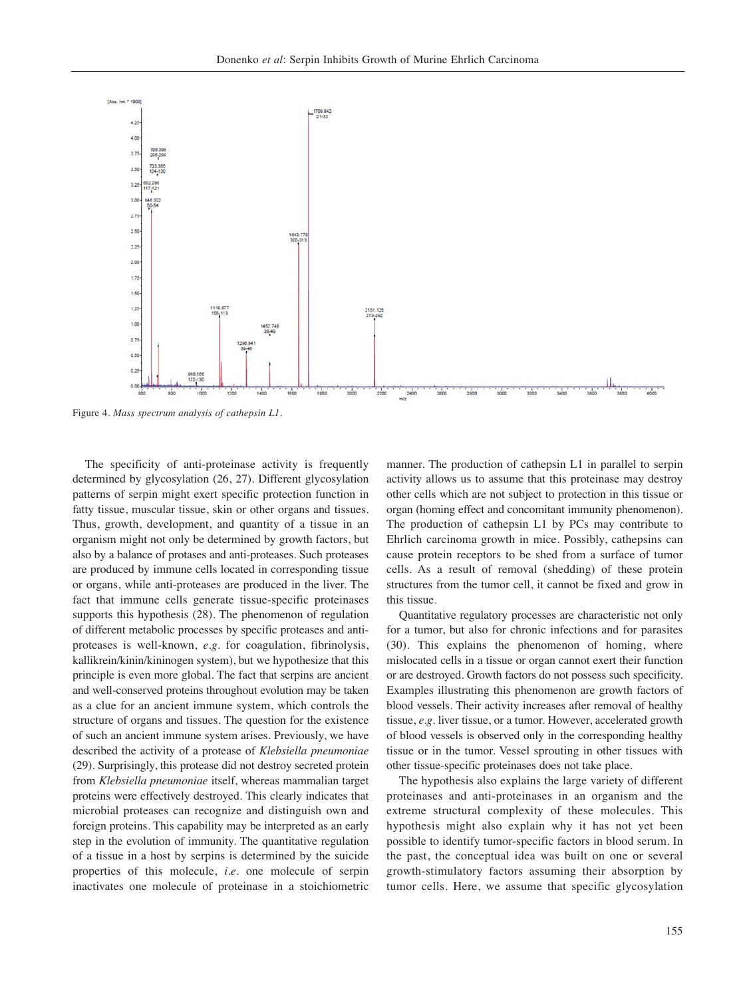

Figure 4. *Mass spectrum analysis of cathepsin L1.* 

The specificity of anti-proteinase activity is frequently determined by glycosylation (26, 27). Different glycosylation patterns of serpin might exert specific protection function in fatty tissue, muscular tissue, skin or other organs and tissues. Thus, growth, development, and quantity of a tissue in an organism might not only be determined by growth factors, but also by a balance of protases and anti-proteases. Such proteases are produced by immune cells located in corresponding tissue or organs, while anti-proteases are produced in the liver. The fact that immune cells generate tissue-specific proteinases supports this hypothesis (28). The phenomenon of regulation of different metabolic processes by specific proteases and antiproteases is well-known, *e.g.* for coagulation, fibrinolysis, kallikrein/kinin/kininogen system), but we hypothesize that this principle is even more global. The fact that serpins are ancient and well-conserved proteins throughout evolution may be taken as a clue for an ancient immune system, which controls the structure of organs and tissues. The question for the existence of such an ancient immune system arises. Previously, we have described the activity of a protease of *Klebsiella pneumoniae* (29). Surprisingly, this protease did not destroy secreted protein from *Klebsiella pneumoniae* itself, whereas mammalian target proteins were effectively destroyed. This clearly indicates that microbial proteases can recognize and distinguish own and foreign proteins. This capability may be interpreted as an early step in the evolution of immunity. The quantitative regulation of a tissue in a host by serpins is determined by the suicide properties of this molecule, *i.e.* one molecule of serpin inactivates one molecule of proteinase in a stoichiometric manner. The production of cathepsin L1 in parallel to serpin activity allows us to assume that this proteinase may destroy other cells which are not subject to protection in this tissue or organ (homing effect and concomitant immunity phenomenon). The production of cathepsin L1 by PCs may contribute to Ehrlich carcinoma growth in mice. Possibly, cathepsins can cause protein receptors to be shed from a surface of tumor cells. As a result of removal (shedding) of these protein structures from the tumor cell, it cannot be fixed and grow in this tissue.

Quantitative regulatory processes are characteristic not only for a tumor, but also for chronic infections and for parasites (30). This explains the phenomenon of homing, where mislocated cells in a tissue or organ cannot exert their function or are destroyed. Growth factors do not possess such specificity. Examples illustrating this phenomenon are growth factors of blood vessels. Their activity increases after removal of healthy tissue, *e.g.* liver tissue, or a tumor. However, accelerated growth of blood vessels is observed only in the corresponding healthy tissue or in the tumor. Vessel sprouting in other tissues with other tissue-specific proteinases does not take place.

The hypothesis also explains the large variety of different proteinases and anti-proteinases in an organism and the extreme structural complexity of these molecules. This hypothesis might also explain why it has not yet been possible to identify tumor-specific factors in blood serum. In the past, the conceptual idea was built on one or several growth-stimulatory factors assuming their absorption by tumor cells. Here, we assume that specific glycosylation